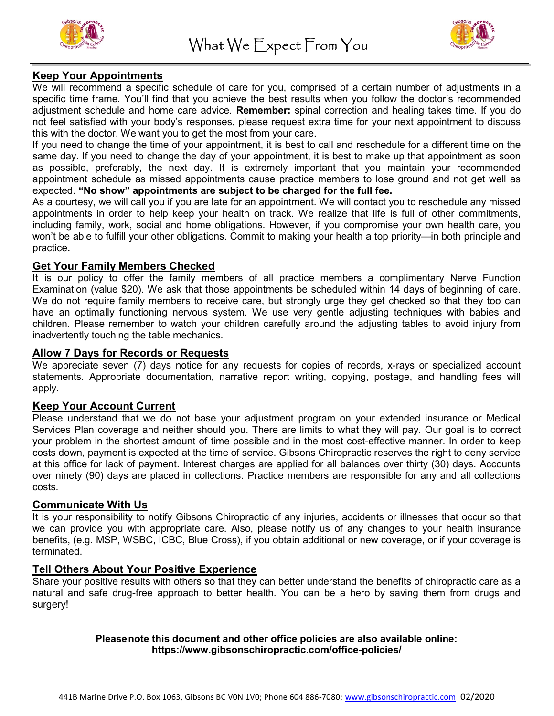



## Keep Your Appointments

We will recommend a specific schedule of care for you, comprised of a certain number of adjustments in a specific time frame. You'll find that you achieve the best results when you follow the doctor's recommended adjustment schedule and home care advice. Remember: spinal correction and healing takes time. If you do not feel satisfied with your body's responses, please request extra time for your next appointment to discuss this with the doctor. We want you to get the most from your care.

If you need to change the time of your appointment, it is best to call and reschedule for a different time on the same day. If you need to change the day of your appointment, it is best to make up that appointment as soon as possible, preferably, the next day. It is extremely important that you maintain your recommended appointment schedule as missed appointments cause practice members to lose ground and not get well as expected. "No show" appointments are subject to be charged for the full fee.

As a courtesy, we will call you if you are late for an appointment. We will contact you to reschedule any missed appointments in order to help keep your health on track. We realize that life is full of other commitments, including family, work, social and home obligations. However, if you compromise your own health care, you won't be able to fulfill your other obligations. Commit to making your health a top priority—in both principle and practice.

## Get Your Family Members Checked

It is our policy to offer the family members of all practice members a complimentary Nerve Function Examination (value \$20). We ask that those appointments be scheduled within 14 days of beginning of care. We do not require family members to receive care, but strongly urge they get checked so that they too can have an optimally functioning nervous system. We use very gentle adjusting techniques with babies and children. Please remember to watch your children carefully around the adjusting tables to avoid injury from inadvertently touching the table mechanics.

#### Allow 7 Days for Records or Requests

We appreciate seven (7) days notice for any requests for copies of records, x-rays or specialized account statements. Appropriate documentation, narrative report writing, copying, postage, and handling fees will apply.

## Keep Your Account Current

Please understand that we do not base your adjustment program on your extended insurance or Medical Services Plan coverage and neither should you. There are limits to what they will pay. Our goal is to correct your problem in the shortest amount of time possible and in the most cost-effective manner. In order to keep costs down, payment is expected at the time of service. Gibsons Chiropractic reserves the right to deny service at this office for lack of payment. Interest charges are applied for all balances over thirty (30) days. Accounts over ninety (90) days are placed in collections. Practice members are responsible for any and all collections costs.

## Communicate With Us

It is your responsibility to notify Gibsons Chiropractic of any injuries, accidents or illnesses that occur so that we can provide you with appropriate care. Also, please notify us of any changes to your health insurance benefits, (e.g. MSP, WSBC, ICBC, Blue Cross), if you obtain additional or new coverage, or if your coverage is terminated.

## Tell Others About Your Positive Experience

Share your positive results with others so that they can better understand the benefits of chiropractic care as a natural and safe drug-free approach to better health. You can be a hero by saving them from drugs and surgery!

#### Please note this document and other office policies are also available online: https://www.gibsonschiropractic.com/office-policies/